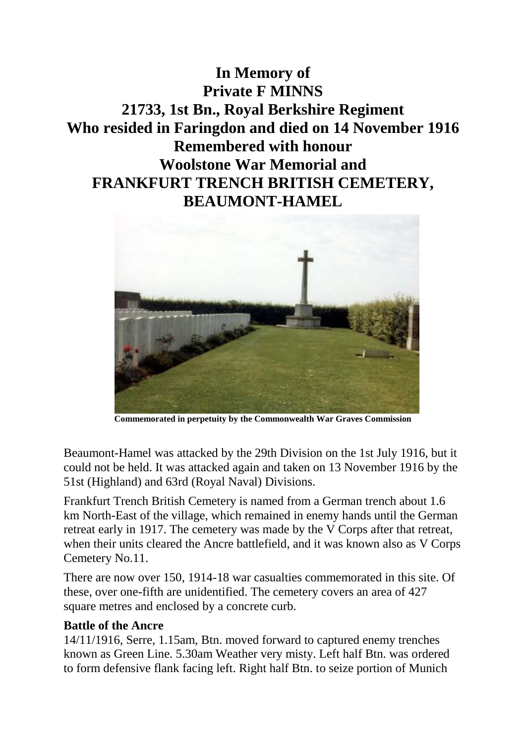## **In Memory of Private F MINNS 21733, 1st Bn., Royal Berkshire Regiment Who resided in Faringdon and died on 14 November 1916 Remembered with honour Woolstone War Memorial and FRANKFURT TRENCH BRITISH CEMETERY, BEAUMONT-HAMEL**



**Commemorated in perpetuity by the Commonwealth War Graves Commission** 

Beaumont-Hamel was attacked by the 29th Division on the 1st July 1916, but it could not be held. It was attacked again and taken on 13 November 1916 by the 51st (Highland) and 63rd (Royal Naval) Divisions.

Frankfurt Trench British Cemetery is named from a German trench about 1.6 km North-East of the village, which remained in enemy hands until the German retreat early in 1917. The cemetery was made by the V Corps after that retreat, when their units cleared the Ancre battlefield, and it was known also as V Corps Cemetery No.11.

There are now over 150, 1914-18 war casualties commemorated in this site. Of these, over one-fifth are unidentified. The cemetery covers an area of 427 square metres and enclosed by a concrete curb.

## **Battle of the Ancre**

14/11/1916, Serre, 1.15am, Btn. moved forward to captured enemy trenches known as Green Line. 5.30am Weather very misty. Left half Btn. was ordered to form defensive flank facing left. Right half Btn. to seize portion of Munich